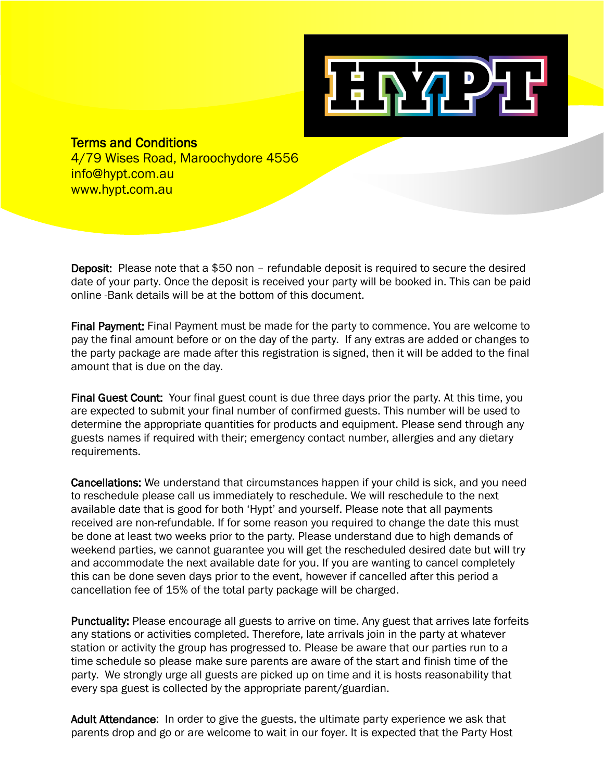

## Terms and Conditions

4/79 Wises Road, Maroochydore 4556 info@hypt.com.au www.hypt.com.au

Deposit: Please note that a \$50 non – refundable deposit is required to secure the desired date of your party. Once the deposit is received your party will be booked in. This can be paid online -Bank details will be at the bottom of this document.

Final Payment: Final Payment must be made for the party to commence. You are welcome to pay the final amount before or on the day of the party. If any extras are added or changes to the party package are made after this registration is signed, then it will be added to the final amount that is due on the day.

Final Guest Count: Your final guest count is due three days prior the party. At this time, you are expected to submit your final number of confirmed guests. This number will be used to determine the appropriate quantities for products and equipment. Please send through any guests names if required with their; emergency contact number, allergies and any dietary requirements.

Cancellations: We understand that circumstances happen if your child is sick, and you need to reschedule please call us immediately to reschedule. We will reschedule to the next available date that is good for both 'Hypt' and yourself. Please note that all payments received are non-refundable. If for some reason you required to change the date this must be done at least two weeks prior to the party. Please understand due to high demands of weekend parties, we cannot guarantee you will get the rescheduled desired date but will try and accommodate the next available date for you. If you are wanting to cancel completely this can be done seven days prior to the event, however if cancelled after this period a cancellation fee of 15% of the total party package will be charged.

Punctuality: Please encourage all guests to arrive on time. Any guest that arrives late forfeits any stations or activities completed. Therefore, late arrivals join in the party at whatever station or activity the group has progressed to. Please be aware that our parties run to a time schedule so please make sure parents are aware of the start and finish time of the party. We strongly urge all guests are picked up on time and it is hosts reasonability that every spa guest is collected by the appropriate parent/guardian.

Adult Attendance: In order to give the guests, the ultimate party experience we ask that parents drop and go or are welcome to wait in our foyer. It is expected that the Party Host